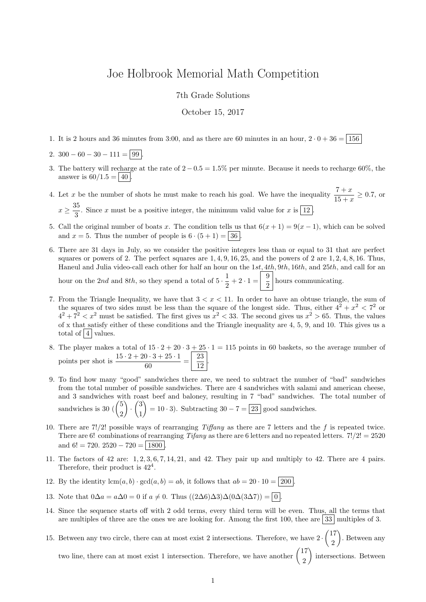## Joe Holbrook Memorial Math Competition

7th Grade Solutions

October 15, 2017

1. It is 2 hours and 36 minutes from 3:00, and as there are 60 minutes in an hour,  $2 \cdot 0 + 36 = 156$ 

2.  $300 - 60 - 30 - 111 = 99$ 

- 3. The battery will recharge at the rate of  $2 0.5 = 1.5\%$  per minute. Because it needs to recharge 60%, the answer is  $60/1.5 = 40$ .
- 4. Let x be the number of shots he must make to reach his goal. We have the inequality  $\frac{7+x}{15+x} \ge 0.7$ , or  $x \geq \frac{35}{2}$  $\frac{3}{3}$ . Since x must be a positive integer, the minimum valid value for x is  $\boxed{12}$ .
- 5. Call the original number of boats x. The condition tells us that  $6(x + 1) = 9(x 1)$ , which can be solved and  $x = 5$ . Thus the number of people is  $6 \cdot (5 + 1) = 36$ .
- 6. There are 31 days in July, so we consider the positive integers less than or equal to 31 that are perfect squares or powers of 2. The perfect squares are  $1, 4, 9, 16, 25$ , and the powers of 2 are  $1, 2, 4, 8, 16$ . Thus, Haneul and Julia video-call each other for half an hour on the 1st, 4th, 9th, 16th, and 25th, and call for an hour on the 2nd and 8th, so they spend a total of  $5 \cdot \frac{1}{2}$  $\frac{1}{2} + 2 \cdot 1 = \frac{9}{2}$  $\frac{6}{2}$  hours communicating.
- 7. From the Triangle Inequality, we have that  $3 < x < 11$ . In order to have an obtuse triangle, the sum of the squares of two sides must be less than the square of the longest side. Thus, either  $4^2 + x^2 < 7^2$  or  $4^2 + 7^2 < x^2$  must be satisfied. The first gives us  $x^2 < 33$ . The second gives us  $x^2 > 65$ . Thus, the values of x that satisfy either of these conditions and the Triangle inequality are 4, 5, 9, and 10. This gives us a total of  $\boxed{4}$  values.
- 8. The player makes a total of  $15 \cdot 2 + 20 \cdot 3 + 25 \cdot 1 = 115$  points in 60 baskets, so the average number of points per shot is  $\frac{15 \cdot 2 + 20 \cdot 3 + 25 \cdot 1}{60} = \frac{23}{12}$  $\frac{15}{12}$
- 9. To find how many "good" sandwiches there are, we need to subtract the number of "bad" sandwiches from the total number of possible sandwiches. There are 4 sandwiches with salami and american cheese, and 3 sandwiches with roast beef and baloney, resulting in 7 "bad" sandwiches. The total number of sandwiches is 30  $\binom{5}{0}$ 2  $\Big) \cdot \Big( \frac{3}{4}$ 1  $= 10 \cdot 3$ . Subtracting  $30 - 7 = 23$  good sandwiches.
- 10. There are 7!/2! possible ways of rearranging Tiffany as there are 7 letters and the f is repeated twice. There are 6! combinations of rearranging Tifany as there are 6 letters and no repeated letters.  $7!/2! = 2520$ and  $6! = 720$ .  $2520 - 720 = 1800$
- 11. The factors of 42 are: 1, 2, 3, 6, 7, 14, 21, and 42. They pair up and multiply to 42. There are 4 pairs. Therefore, their product is  $42^4$ .
- 12. By the identity  $lcm(a, b) \cdot \gcd(a, b) = ab$ , it follows that  $ab = 20 \cdot 10 = 200$ .
- 13. Note that  $0\Delta a = a\Delta 0 = 0$  if  $a \neq 0$ . Thus  $((2\Delta 6)\Delta 3)\Delta (0\Delta (3\Delta 7)) = 0$ .
- 14. Since the sequence starts off with 2 odd terms, every third term will be even. Thus, all the terms that are multiples of three are the ones we are looking for. Among the first 100, thee are  $33 \mid$  multiples of 3.
- 15. Between any two circle, there can at most exist 2 intersections. Therefore, we have  $2 \cdot \binom{17}{2}$ 2 . Between any two line, there can at most exist 1 intersection. Therefore, we have another  $\begin{pmatrix} 17 \\ 2 \end{pmatrix}$ 2 ) intersections. Between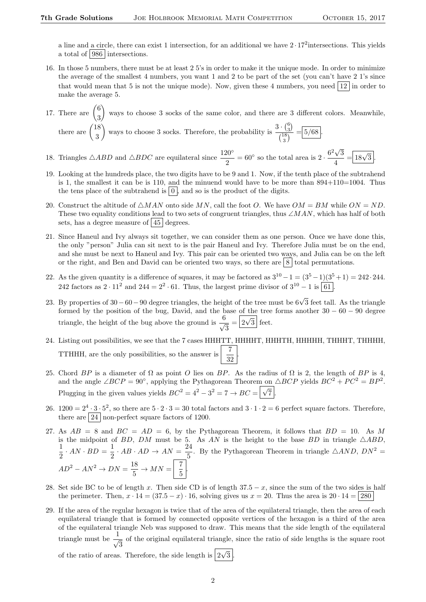a line and a circle, there can exist 1 intersection, for an additional we have  $2 \cdot 17^2$  intersections. This yields a total of 986 intersections.

- 16. In those 5 numbers, there must be at least 2 5's in order to make it the unique mode. In order to minimize the average of the smallest 4 numbers, you want 1 and 2 to be part of the set (you can't have 2 1's since that would mean that 5 is not the unique mode). Now, given these 4 numbers, you need  $\boxed{12}$  in order to make the average 5.
- 17. There are  $\binom{6}{8}$ 3 ways to choose 3 socks of the same color, and there are 3 different colors. Meanwhile, there are  $\binom{18}{3}$ 3 ways to choose 3 socks. Therefore, the probability is  $\frac{3 \cdot {6 \choose 3}}{18}$  $\frac{(3)}{\binom{18}{2}} = 5/68$ . 3
- 18. Triangles  $\triangle ABD$  and  $\triangle BDC$  are equilateral since  $\frac{120^{\circ}}{2} = 60^{\circ}$  so the total area is  $2 \cdot \frac{6^2 \sqrt{3}}{4}$ 3  $\frac{\sqrt{3}}{4} = 18\sqrt{3}$ .
- 19. Looking at the hundreds place, the two digits have to be 9 and 1. Now, if the tenth place of the subtrahend is 1, the smallest it can be is 110, and the minuend would have to be more than  $894+110=1004$ . Thus the tens place of the subtrahend is  $\vert 0 \vert$ , and so is the product of the digits.
- 20. Construct the altitude of  $\triangle MAN$  onto side MN, call the foot O. We have  $OM = BM$  while  $ON = ND$ . These two equality conditions lead to two sets of congruent triangles, thus ∠MAN, which has half of both sets, has a degree measure of  $|45|$  degrees.
- 21. Since Haneul and Ivy always sit together, we can consider them as one person. Once we have done this, the only "person" Julia can sit next to is the pair Haneul and Ivy. Therefore Julia must be on the end, and she must be next to Haneul and Ivy. This pair can be oriented two ways, and Julia can be on the left or the right, and Ben and David can be oriented two ways, so there are  $8 \mid$  total permutations.
- 22. As the given quantity is a difference of squares, it may be factored as  $3^{10} 1 = (3^5 1)(3^5 + 1) = 242 \cdot 244$ . 242 factors as  $2 \cdot 11^2$  and  $244 = 2^2 \cdot 61$ . Thus, the largest prime divisor of  $3^{10} - 1$  is  $\boxed{61}$ .
- 23. By properties of 30 60 90 degree triangles, the height of the tree must be  $6\sqrt{3}$  feet tall. As the triangle formed by the position of the bug, David, and the base <u>of the</u> tree forms another  $30 - 60 - 90$  degree triangle, the height of the bug above the ground is  $\frac{6}{\sqrt{2}}$  $\frac{3}{3} = \boxed{2\sqrt{3}}$  feet.
- 24. Listing out possibilities, we see that the 7 cases HHHTT, HHHHT, HHHTH, HHHHH, THHHT, THHHH, TTHHH, are the only possibilities, so the answer is  $\begin{array}{|c|c|c|} \hline 7 & 32 \ \hline \end{array}$ .
- 25. Chord BP is a diameter of  $\Omega$  as point O lies on BP. As the radius of  $\Omega$  is 2, the length of BP is 4, and the angle  $\angle BCP = 90^{\circ}$ , applying the Pythagorean Theorem on  $\triangle BCP$  yields  $BC^{2} + PC^{2} = BP^{2}$ . Plugging in the given values yields  $BC^2 = 4^2 - 3^2 = 7 \rightarrow BC = \sqrt{\sqrt{}}$  $7$  .
- 26.  $1200 = 2^4 \cdot 3 \cdot 5^2$ , so there are  $5 \cdot 2 \cdot 3 = 30$  total factors and  $3 \cdot 1 \cdot 2 = 6$  perfect square factors. Therefore, there are  $|24|$  non-perfect square factors of 1200.
- 27. As  $AB = 8$  and  $BC = AD = 6$ , by the Pythagorean Theorem, it follows that  $BD = 10$ . As M is the midpoint of BD, DM must be 5. As AN is the height to the base BD in triangle  $\triangle ABD$ , 1  $\frac{1}{2} \cdot AN \cdot BD = \frac{1}{2}$  $rac{1}{2} \cdot AB \cdot AD \rightarrow AN = \frac{24}{5}$  $\frac{24}{5}$ . By the Pythagorean Theorem in triangle  $\triangle AND$ ,  $DN^2 =$  $AD^2 - AN^2 \rightarrow DN = \frac{18}{5}$  $rac{18}{5}$   $\rightarrow$   $MN = \begin{bmatrix} 7 \\ 5 \end{bmatrix}$  $\frac{1}{5}$
- 28. Set side BC to be of length x. Then side CD is of length  $37.5 x$ , since the sum of the two sides is half the perimeter. Then,  $x \cdot 14 = (37.5 - x) \cdot 16$ , solving gives us  $x = 20$ . Thus the area is  $20 \cdot 14 = |280|$
- 29. If the area of the regular hexagon is twice that of the area of the equilateral triangle, then the area of each equilateral triangle that is formed by connected opposite vertices of the hexagon is a third of the area of the equilateral triangle Neb was supposed to draw. This means that the side length of the equilateral triangle must be  $\frac{1}{\sqrt{2}}$  $\frac{1}{3}$  of the original equilateral triangle, since the ratio of side lengths is the square root of the ratio of areas. Therefore, the side length is  $\sqrt{2\sqrt{3}}$ .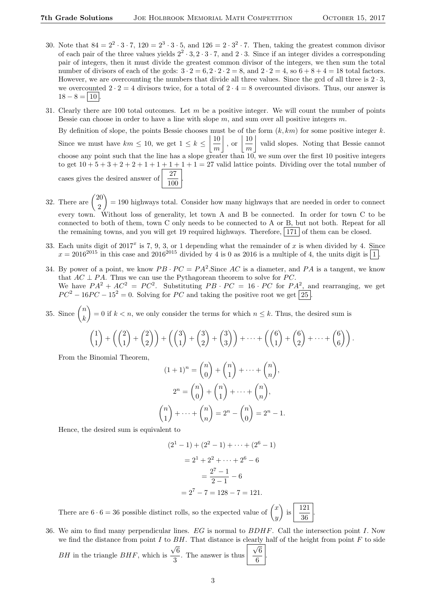- 30. Note that  $84 = 2^2 \cdot 3 \cdot 7$ ,  $120 = 2^3 \cdot 3 \cdot 5$ , and  $126 = 2 \cdot 3^2 \cdot 7$ . Then, taking the greatest common divisor of each pair of the three values yields  $2^2 \cdot 3$ ,  $2 \cdot 3 \cdot 7$ , and  $2 \cdot 3$ . Since if an integer divides a corresponding pair of integers, then it must divide the greatest common divisor of the integers, we then sum the total number of divisors of each of the gcds:  $3 \cdot 2 = 6, 2 \cdot 2 \cdot 2 = 8$ , and  $2 \cdot 2 = 4$ , so  $6 + 8 + 4 = 18$  total factors. However, we are overcounting the numbers that divide all three values. Since the gcd of all three is  $2 \cdot 3$ , we overcounted  $2 \cdot 2 = 4$  divisors twice, for a total of  $2 \cdot 4 = 8$  overcounted divisors. Thus, our answer is  $18 - 8 = 10$
- 31. Clearly there are 100 total outcomes. Let  $m$  be a positive integer. We will count the number of points Bessie can choose in order to have a line with slope  $m$ , and sum over all positive integers  $m$ .

By definition of slope, the points Bessie chooses must be of the form  $(k, km)$  for some positive integer k. Since we must have  $km \leq 10$ , we get  $1 \leq k \leq \left\lfloor \frac{10}{2} \right\rfloor$ m  $\Big\vert$ , or  $\Big\vert \frac{10}{\cdot}$ m valid slopes. Noting that Bessie cannot choose any point such that the line has a slope greater than 10, we sum over the first 10 positive integers to get  $10 + 5 + 3 + 2 + 2 + 1 + 1 + 1 + 1 + 1 = 27$  valid lattice points. Dividing over the total number of cases gives the desired answer of  $\frac{27}{100}$ .

- 32. There are  $\binom{20}{3}$ 2  $= 190$  highways total. Consider how many highways that are needed in order to connect every town. Without loss of generality, let town A and B be connected. In order for town C to be connected to both of them, town C only needs to be connected to A or B, but not both. Repeat for all the remaining towns, and you will get 19 required highways. Therefore,  $|171|$  of them can be closed.
- 33. Each units digit of  $2017<sup>x</sup>$  is 7, 9, 3, or 1 depending what the remainder of x is when divided by 4. Since  $x = 2016^{2015}$  in this case and  $2016^{2015}$  divided by 4 is 0 as 2016 is a multiple of 4, the units digit is  $\boxed{1}$ .
- 34. By power of a point, we know  $PB \cdot PC = PA^2$ . Since AC is a diameter, and PA is a tangent, we know that  $AC \perp PA$ . Thus we can use the Pythagorean theorem to solve for PC. We have  $PA^2 + AC^2 = PC^2$ . Substituting  $PB \cdot PC = 16 \cdot PC$  for  $PA^2$ , and rearranging, we get  $PC^{2} - 16PC - 15^{2} = 0$ . Solving for PC and taking the positive root we get [25].
- 35. Since  $\binom{n}{k}$ k = 0 if  $k < n$ , we only consider the terms for which  $n \leq k$ . Thus, the desired sum is

$$
\binom{1}{1} + \left(\binom{2}{1} + \binom{2}{2}\right) + \left(\binom{3}{1} + \binom{3}{2} + \binom{3}{3}\right) + \dots + \left(\binom{6}{1} + \binom{6}{2} + \dots + \binom{6}{6}\right).
$$

From the Binomial Theorem,

$$
(1+1)^n = \binom{n}{0} + \binom{n}{1} + \dots + \binom{n}{n},
$$
  
\n
$$
2^n = \binom{n}{0} + \binom{n}{1} + \dots + \binom{n}{n},
$$
  
\n
$$
\binom{n}{1} + \dots + \binom{n}{n} = 2^n - \binom{n}{0} = 2^n - 1.
$$

Hence, the desired sum is equivalent to

$$
(21 - 1) + (22 - 1) + \dots + (26 - 1)
$$

$$
= 21 + 22 + \dots + 26 - 6
$$

$$
= \frac{27 - 1}{2 - 1} - 6
$$

$$
= 27 - 7 = 128 - 7 = 121.
$$

There are  $6 \cdot 6 = 36$  possible distinct rolls, so the expected value of  $\begin{pmatrix} x \\ y \end{pmatrix}$  $\hat{y}$ ). is 121 36 .

36. We aim to find many perpendicular lines. EG is normal to BDHF. Call the intersection point I. Now we find the distance from point I to BH. That distance is clearly half of the height from point F to side

*BH* in the triangle *BHF*, which is 
$$
\frac{\sqrt{6}}{3}
$$
. The answer is thus  $\frac{\sqrt{6}}{6}$ .